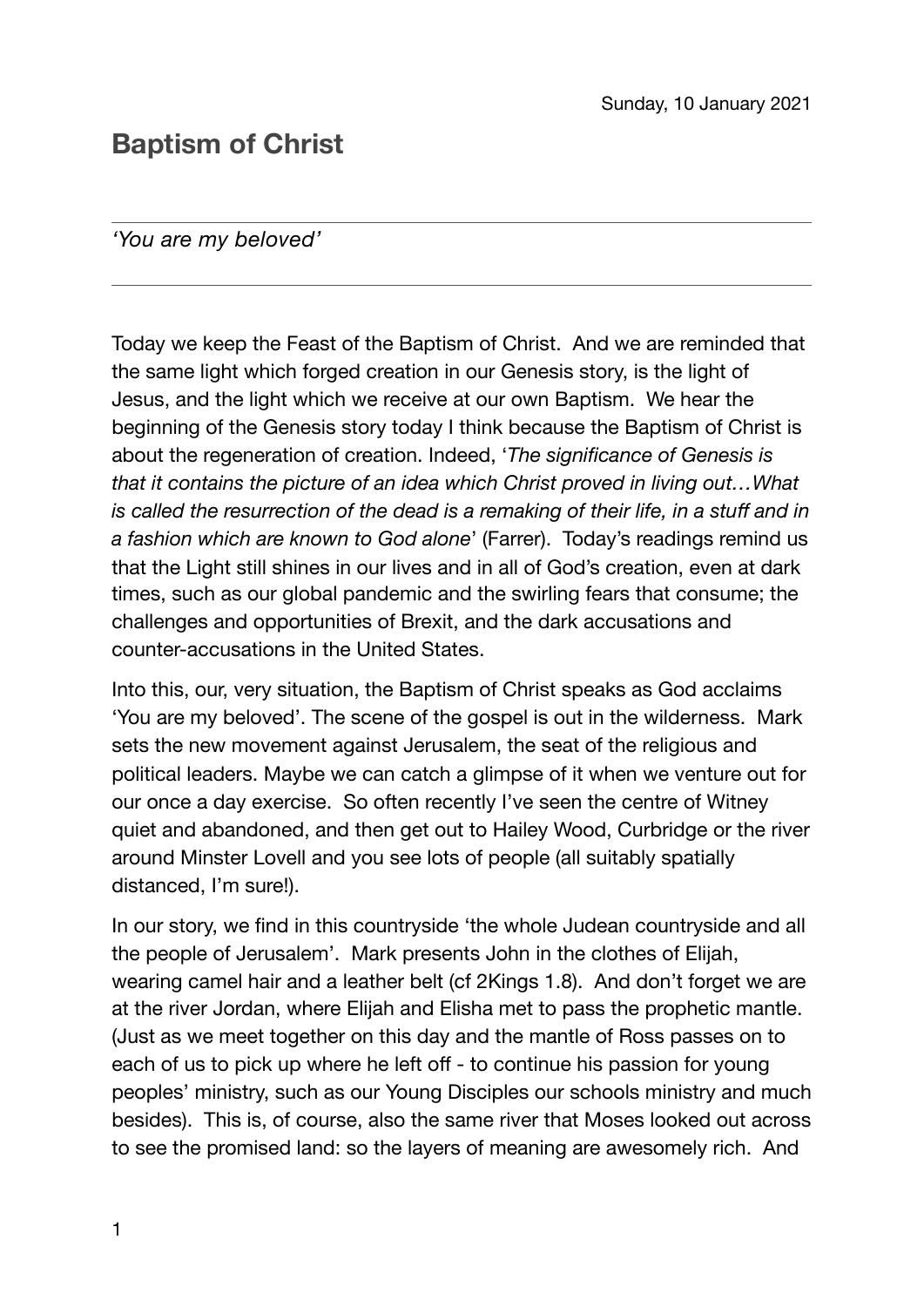## **Baptism of Christ**

## *'You are my beloved'*

Today we keep the Feast of the Baptism of Christ. And we are reminded that the same light which forged creation in our Genesis story, is the light of Jesus, and the light which we receive at our own Baptism. We hear the beginning of the Genesis story today I think because the Baptism of Christ is about the regeneration of creation. Indeed, '*The significance of Genesis is that it contains the picture of an idea which Christ proved in living out…What is called the resurrection of the dead is a remaking of their life, in a stuff and in a fashion which are known to God alone*' (Farrer). Today's readings remind us that the Light still shines in our lives and in all of God's creation, even at dark times, such as our global pandemic and the swirling fears that consume; the challenges and opportunities of Brexit, and the dark accusations and counter-accusations in the United States.

Into this, our, very situation, the Baptism of Christ speaks as God acclaims 'You are my beloved'. The scene of the gospel is out in the wilderness. Mark sets the new movement against Jerusalem, the seat of the religious and political leaders. Maybe we can catch a glimpse of it when we venture out for our once a day exercise. So often recently I've seen the centre of Witney quiet and abandoned, and then get out to Hailey Wood, Curbridge or the river around Minster Lovell and you see lots of people (all suitably spatially distanced, I'm sure!).

In our story, we find in this countryside 'the whole Judean countryside and all the people of Jerusalem'. Mark presents John in the clothes of Elijah, wearing camel hair and a leather belt (cf 2Kings 1.8). And don't forget we are at the river Jordan, where Elijah and Elisha met to pass the prophetic mantle. (Just as we meet together on this day and the mantle of Ross passes on to each of us to pick up where he left off - to continue his passion for young peoples' ministry, such as our Young Disciples our schools ministry and much besides). This is, of course, also the same river that Moses looked out across to see the promised land: so the layers of meaning are awesomely rich. And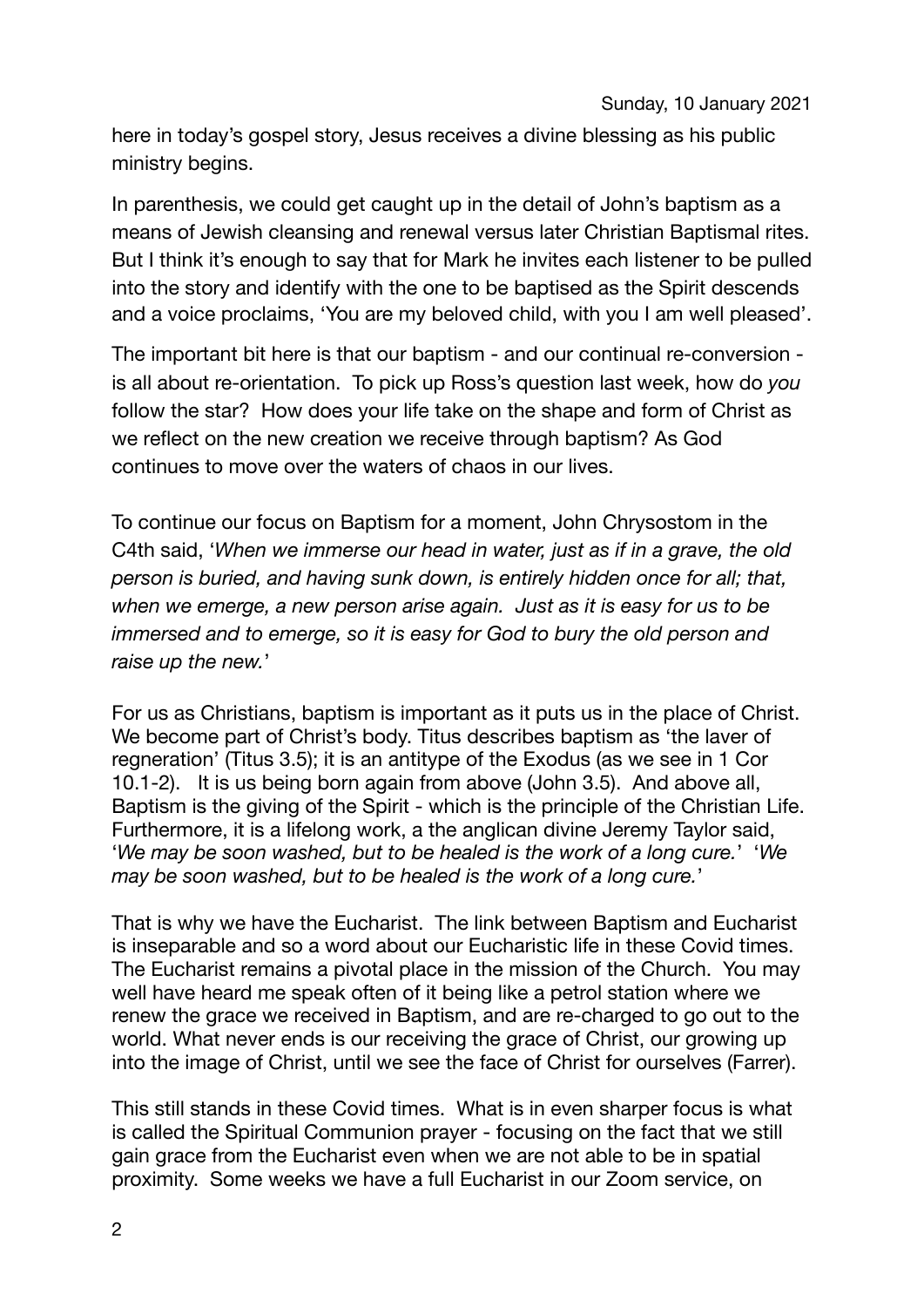here in today's gospel story, Jesus receives a divine blessing as his public ministry begins.

In parenthesis, we could get caught up in the detail of John's baptism as a means of Jewish cleansing and renewal versus later Christian Baptismal rites. But I think it's enough to say that for Mark he invites each listener to be pulled into the story and identify with the one to be baptised as the Spirit descends and a voice proclaims, 'You are my beloved child, with you I am well pleased'.

The important bit here is that our baptism - and our continual re-conversion is all about re-orientation. To pick up Ross's question last week, how do *you* follow the star? How does your life take on the shape and form of Christ as we reflect on the new creation we receive through baptism? As God continues to move over the waters of chaos in our lives.

To continue our focus on Baptism for a moment, John Chrysostom in the C4th said, '*When we immerse our head in water, just as if in a grave, the old person is buried, and having sunk down, is entirely hidden once for all; that, when we emerge, a new person arise again. Just as it is easy for us to be immersed and to emerge, so it is easy for God to bury the old person and raise up the new.*'

For us as Christians, baptism is important as it puts us in the place of Christ. We become part of Christ's body. Titus describes baptism as 'the laver of regneration' (Titus 3.5); it is an antitype of the Exodus (as we see in 1 Cor 10.1-2). It is us being born again from above (John 3.5). And above all, Baptism is the giving of the Spirit - which is the principle of the Christian Life. Furthermore, it is a lifelong work, a the anglican divine Jeremy Taylor said, '*We may be soon washed, but to be healed is the work of a long cure.*' '*We may be soon washed, but to be healed is the work of a long cure.*'

That is why we have the Eucharist. The link between Baptism and Eucharist is inseparable and so a word about our Eucharistic life in these Covid times. The Eucharist remains a pivotal place in the mission of the Church. You may well have heard me speak often of it being like a petrol station where we renew the grace we received in Baptism, and are re-charged to go out to the world. What never ends is our receiving the grace of Christ, our growing up into the image of Christ, until we see the face of Christ for ourselves (Farrer).

This still stands in these Covid times. What is in even sharper focus is what is called the Spiritual Communion prayer - focusing on the fact that we still gain grace from the Eucharist even when we are not able to be in spatial proximity. Some weeks we have a full Eucharist in our Zoom service, on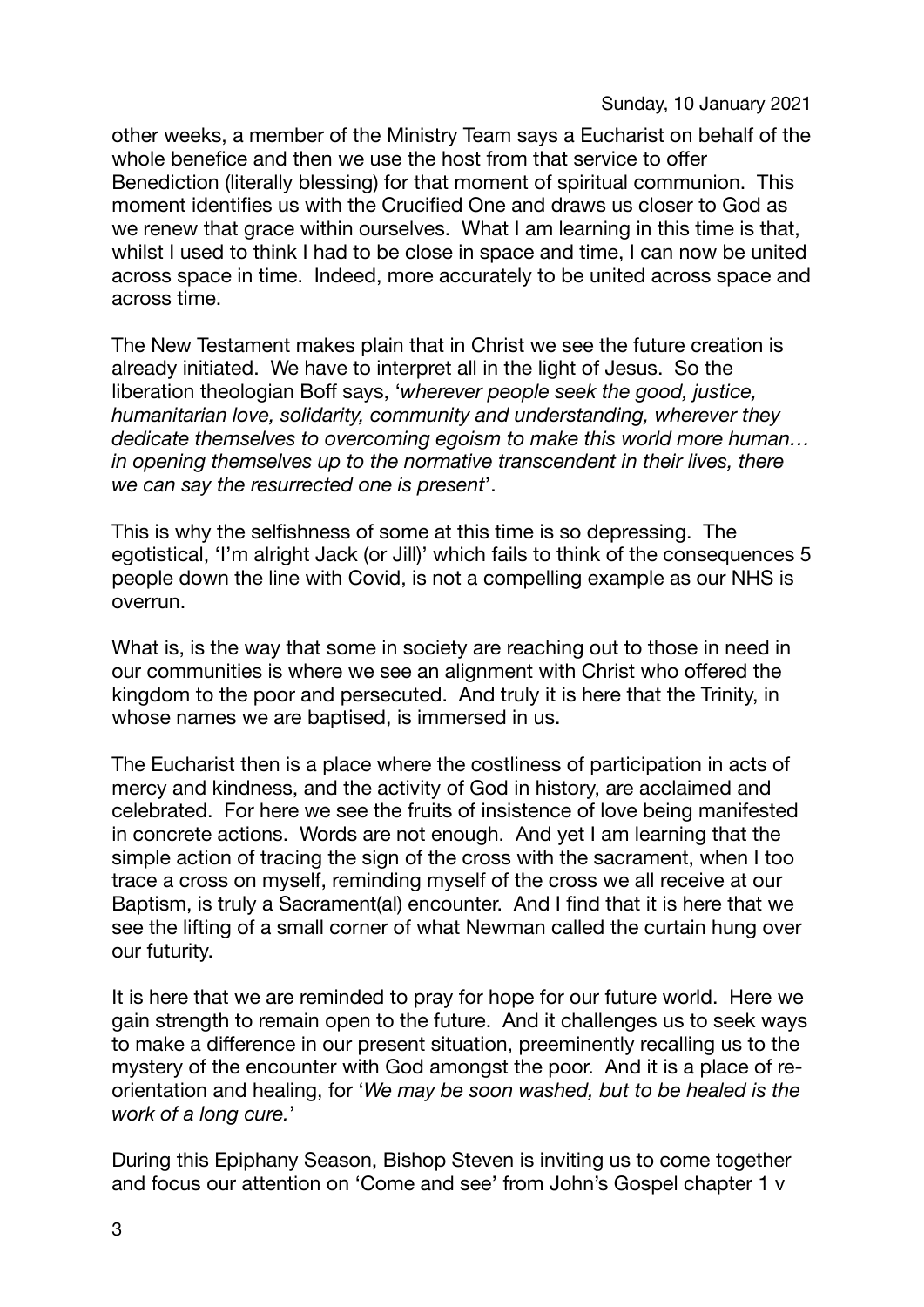other weeks, a member of the Ministry Team says a Eucharist on behalf of the whole benefice and then we use the host from that service to offer Benediction (literally blessing) for that moment of spiritual communion. This moment identifies us with the Crucified One and draws us closer to God as we renew that grace within ourselves. What I am learning in this time is that, whilst I used to think I had to be close in space and time, I can now be united across space in time. Indeed, more accurately to be united across space and across time.

The New Testament makes plain that in Christ we see the future creation is already initiated. We have to interpret all in the light of Jesus. So the liberation theologian Boff says, '*wherever people seek the good, justice, humanitarian love, solidarity, community and understanding, wherever they dedicate themselves to overcoming egoism to make this world more human… in opening themselves up to the normative transcendent in their lives, there we can say the resurrected one is present*'.

This is why the selfishness of some at this time is so depressing. The egotistical, 'I'm alright Jack (or Jill)' which fails to think of the consequences 5 people down the line with Covid, is not a compelling example as our NHS is overrun.

What is, is the way that some in society are reaching out to those in need in our communities is where we see an alignment with Christ who offered the kingdom to the poor and persecuted. And truly it is here that the Trinity, in whose names we are baptised, is immersed in us.

The Eucharist then is a place where the costliness of participation in acts of mercy and kindness, and the activity of God in history, are acclaimed and celebrated. For here we see the fruits of insistence of love being manifested in concrete actions. Words are not enough.And yet I am learning that the simple action of tracing the sign of the cross with the sacrament, when I too trace a cross on myself, reminding myself of the cross we all receive at our Baptism, is truly a Sacrament(al) encounter. And I find that it is here that we see the lifting of a small corner of what Newman called the curtain hung over our futurity.

It is here that we are reminded to pray for hope for our future world. Here we gain strength to remain open to the future. And it challenges us to seek ways to make a difference in our present situation, preeminently recalling us to the mystery of the encounter with God amongst the poor. And it is a place of reorientation and healing, for '*We may be soon washed, but to be healed is the work of a long cure.*'

During this Epiphany Season, Bishop Steven is inviting us to come together and focus our attention on 'Come and see' from John's Gospel chapter 1 v